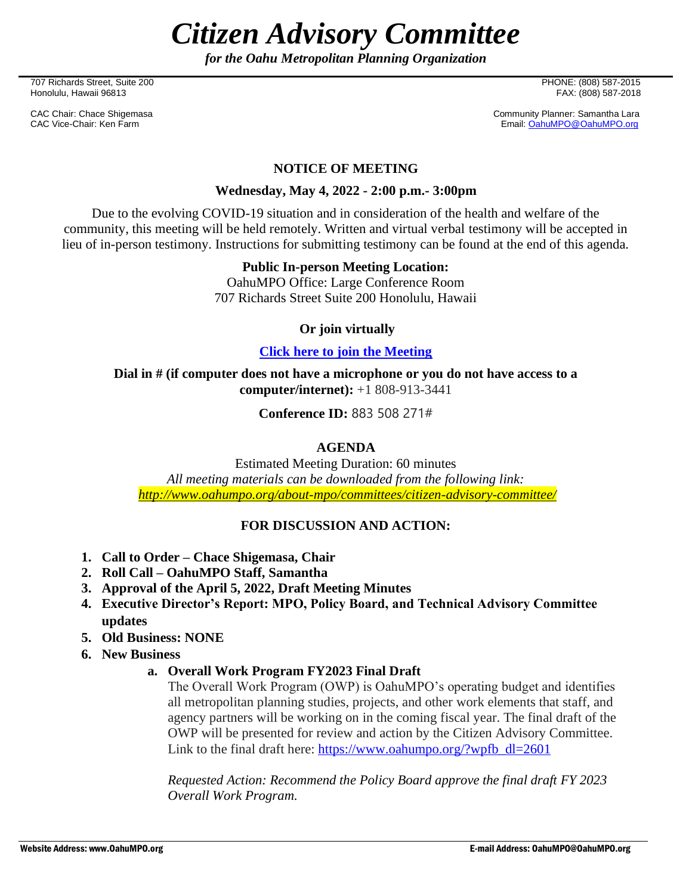*Citizen Advisory Committee*

*for the Oahu Metropolitan Planning Organization*

707 Richards Street, Suite 200 PHONE: (808) 587-2015 Honolulu, Hawaii 96813

CAC Chair: Chace Shigemasa Community Planner: Samantha Lara<br>CAC Vice-Chair: Ken Farm CAC Chair: Ken Farm CAC CAC Chair: Canal CAC Vice-Chair: Canal CAC Vice-Chair: Ken Farm Email[: OahuMPO@OahuMPO.org](mailto:OahuMPO@OahuMPO.org)

## **NOTICE OF MEETING**

### **Wednesday, May 4, 2022 - 2:00 p.m.- 3:00pm**

Due to the evolving COVID-19 situation and in consideration of the health and welfare of the community, this meeting will be held remotely. Written and virtual verbal testimony will be accepted in lieu of in-person testimony. Instructions for submitting testimony can be found at the end of this agenda.

#### **Public In-person Meeting Location:**

OahuMPO Office: Large Conference Room 707 Richards Street Suite 200 Honolulu, Hawaii

## **Or join virtually**

#### **[Click here to join the Meeting](https://teams.microsoft.com/l/meetup-join/19%3ameeting_OWE4ZjliNGQtNTFiYi00MGUwLTk5ODMtNGU0NTgyNmIxYzYw%40thread.v2/0?context=%7b%22Tid%22%3a%2217291f7f-355b-4dd1-bac5-d71ce58243c3%22%2c%22Oid%22%3a%2208ec3525-b8df-4621-98c6-0f329f116c0c%22%7d)**

**Dial in # (if computer does not have a microphone or you do not have access to a computer/internet):** +1 808-913-3441

**Conference ID:** 883 508 271#

# **AGENDA**

Estimated Meeting Duration: 60 minutes *All meeting materials can be downloaded from the following link: <http://www.oahumpo.org/about-mpo/committees/citizen-advisory-committee/>*

#### **FOR DISCUSSION AND ACTION:**

- **1. Call to Order – Chace Shigemasa, Chair**
- **2. Roll Call – OahuMPO Staff, Samantha**
- **3. Approval of the April 5, 2022, Draft Meeting Minutes**
- **4. Executive Director's Report: MPO, Policy Board, and Technical Advisory Committee updates**
- **5. Old Business: NONE**
- **6. New Business** 
	- **a. Overall Work Program FY2023 Final Draft**

The Overall Work Program (OWP) is OahuMPO's operating budget and identifies all metropolitan planning studies, projects, and other work elements that staff, and agency partners will be working on in the coming fiscal year. The final draft of the OWP will be presented for review and action by the Citizen Advisory Committee. Link to the final draft here: [https://www.oahumpo.org/?wpfb\\_dl=2601](https://www.oahumpo.org/?wpfb_dl=2601)

*Requested Action: Recommend the Policy Board approve the final draft FY 2023 Overall Work Program.*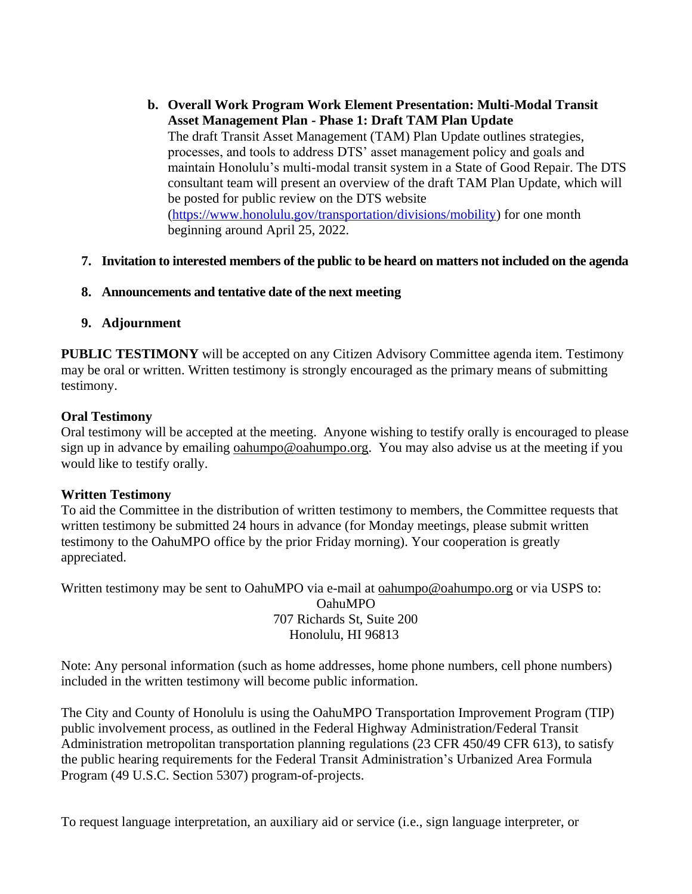- **b. Overall Work Program Work Element Presentation: Multi-Modal Transit Asset Management Plan - Phase 1: Draft TAM Plan Update** The draft Transit Asset Management (TAM) Plan Update outlines strategies, processes, and tools to address DTS' asset management policy and goals and maintain Honolulu's multi-modal transit system in a State of Good Repair. The DTS consultant team will present an overview of the draft TAM Plan Update, which will be posted for public review on the DTS website [\(https://www.honolulu.gov/transportation/divisions/mobility\)](https://www.honolulu.gov/transportation/divisions/mobility) for one month beginning around April 25, 2022.
- **7. Invitation to interested members of the public to be heard on matters not included on the agenda**
- **8. Announcements and tentative date of the next meeting**
- **9. Adjournment**

**PUBLIC TESTIMONY** will be accepted on any Citizen Advisory Committee agenda item. Testimony may be oral or written. Written testimony is strongly encouraged as the primary means of submitting testimony.

## **Oral Testimony**

Oral testimony will be accepted at the meeting. Anyone wishing to testify orally is encouraged to please sign up in advance by emailing [oahumpo@oahumpo.org.](mailto:oahumpo@oahumpo.org) You may also advise us at the meeting if you would like to testify orally.

#### **Written Testimony**

To aid the Committee in the distribution of written testimony to members, the Committee requests that written testimony be submitted 24 hours in advance (for Monday meetings, please submit written testimony to the OahuMPO office by the prior Friday morning). Your cooperation is greatly appreciated.

Written testimony may be sent to OahuMPO via e-mail at <u>[oahumpo@oahumpo.org](mailto:oahumpo@oahumpo.org)</u> or via USPS to: OahuMPO 707 Richards St, Suite 200 Honolulu, HI 96813

Note: Any personal information (such as home addresses, home phone numbers, cell phone numbers) included in the written testimony will become public information.

The City and County of Honolulu is using the OahuMPO Transportation Improvement Program (TIP) public involvement process, as outlined in the Federal Highway Administration/Federal Transit Administration metropolitan transportation planning regulations (23 CFR 450/49 CFR 613), to satisfy the public hearing requirements for the Federal Transit Administration's Urbanized Area Formula Program (49 U.S.C. Section 5307) program-of-projects.

To request language interpretation, an auxiliary aid or service (i.e., sign language interpreter, or